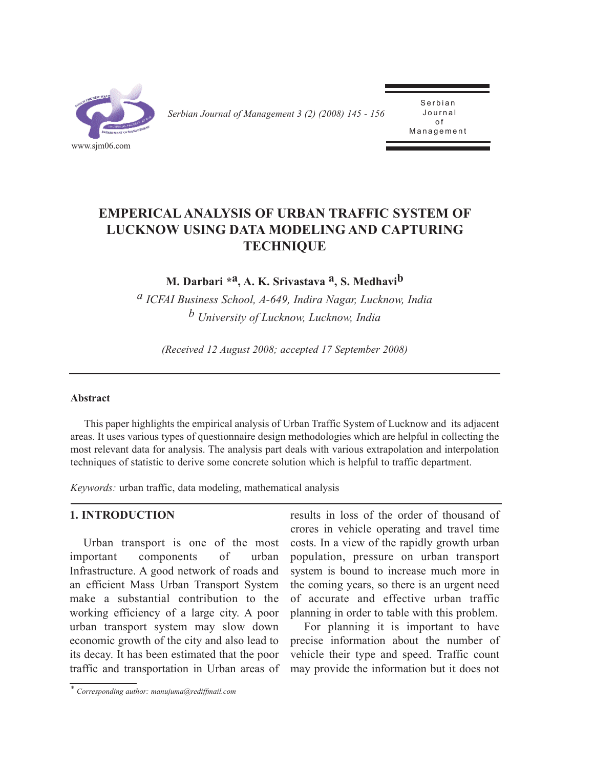

*Serbian Journal of Management 3 (2) (2008) 145 - 156* 

Serbian<br>Journal of Management Management

# **EMPERICAL ANALYSIS OF URBAN TRAFFIC SYSTEM OF LUCKNOW USING DATA MODELING AND CAPTURING TECHNIQUE**

**M. Darbari \*a, A. K. Srivastava a, S. Medhavib**

*a ICFAI Business School, A-649, Indira Nagar, Lucknow, India b University of Lucknow, Lucknow, India*

*(Received 12 August 2008; accepted 17 September 2008)*

### **Abstract**

This paper highlights the empirical analysis of Urban Traffic System of Lucknow and its adjacent areas. It uses various types of questionnaire design methodologies which are helpful in collecting the most relevant data for analysis. The analysis part deals with various extrapolation and interpolation techniques of statistic to derive some concrete solution which is helpful to traffic department.

*Keywords:* urban traffic, data modeling, mathematical analysis

### **1. INTRODUCTION**

Urban transport is one of the most important components of urban Infrastructure. A good network of roads and an efficient Mass Urban Transport System make a substantial contribution to the working efficiency of a large city. A poor urban transport system may slow down economic growth of the city and also lead to its decay. It has been estimated that the poor traffic and transportation in Urban areas of

results in loss of the order of thousand of crores in vehicle operating and travel time costs. In a view of the rapidly growth urban population, pressure on urban transport system is bound to increase much more in the coming years, so there is an urgent need of accurate and effective urban traffic planning in order to table with this problem.

For planning it is important to have precise information about the number of vehicle their type and speed. Traffic count may provide the information but it does not

*<sup>\*</sup> Corresponding author: manujuma@rediffmail.com*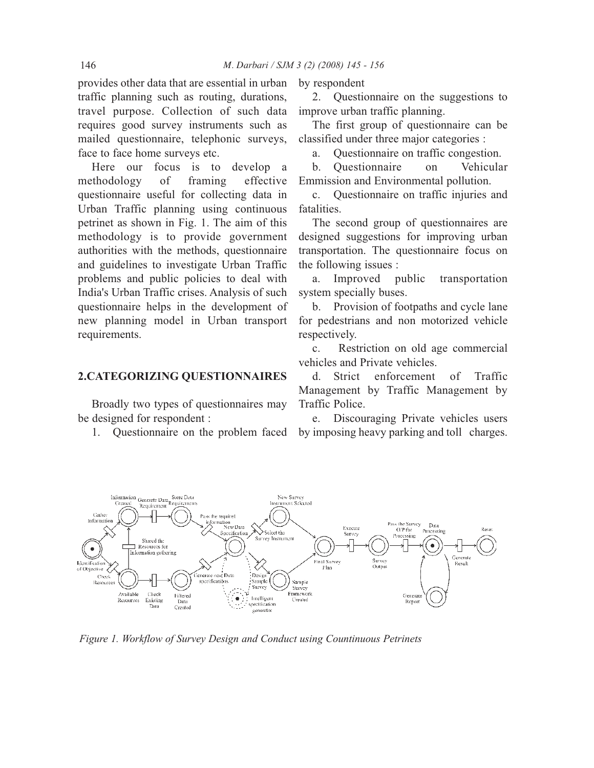provides other data that are essential in urban traffic planning such as routing, durations, travel purpose. Collection of such data requires good survey instruments such as mailed questionnaire, telephonic surveys, face to face home surveys etc.

Here our focus is to develop a methodology of framing effective questionnaire useful for collecting data in Urban Traffic planning using continuous petrinet as shown in Fig. 1. The aim of this methodology is to provide government authorities with the methods, questionnaire and guidelines to investigate Urban Traffic problems and public policies to deal with India's Urban Traffic crises. Analysis of such questionnaire helps in the development of new planning model in Urban transport requirements.

#### **2.CATEGORIZING QUESTIONNAIRES**

Broadly two types of questionnaires may be designed for respondent :

1. Questionnaire on the problem faced

by respondent

2. Questionnaire on the suggestions to improve urban traffic planning.

The first group of questionnaire can be classified under three major categories :

a. Questionnaire on traffic congestion.

b. Questionnaire on Vehicular Emmission and Environmental pollution.

c. Questionnaire on traffic injuries and fatalities.

The second group of questionnaires are designed suggestions for improving urban transportation. The questionnaire focus on the following issues :

a. Improved public transportation system specially buses.

b. Provision of footpaths and cycle lane for pedestrians and non motorized vehicle respectively.

c. Restriction on old age commercial vehicles and Private vehicles.

d. Strict enforcement of Traffic Management by Traffic Management by Traffic Police.

e. Discouraging Private vehicles users by imposing heavy parking and toll charges.



*Figure 1. Workflow of Survey Design and Conduct using Countinuous Petrinets*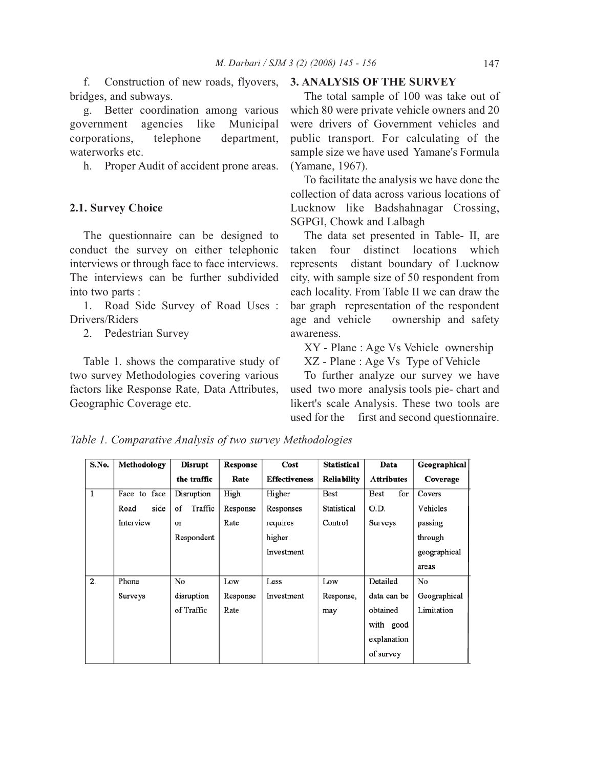f. Construction of new roads, flyovers, bridges, and subways.

g. Better coordination among various government agencies like Municipal corporations, telephone department, waterworks etc.

h. Proper Audit of accident prone areas.

### **2.1. Survey Choice**

The questionnaire can be designed to conduct the survey on either telephonic interviews or through face to face interviews. The interviews can be further subdivided into two parts :

1. Road Side Survey of Road Uses : Drivers/Riders

2. Pedestrian Survey

Table 1. shows the comparative study of two survey Methodologies covering various factors like Response Rate, Data Attributes, Geographic Coverage etc.

### **3. ANALYSIS OF THE SURVEY**

The total sample of 100 was take out of which 80 were private vehicle owners and 20 were drivers of Government vehicles and public transport. For calculating of the sample size we have used Yamane's Formula (Yamane, 1967).

To facilitate the analysis we have done the collection of data across various locations of Lucknow like Badshahnagar Crossing, SGPGI, Chowk and Lalbagh

The data set presented in Table- II, are taken four distinct locations which represents distant boundary of Lucknow city, with sample size of 50 respondent from each locality. From Table II we can draw the bar graph representation of the respondent age and vehicle ownership and safety awareness.

XY - Plane : Age Vs Vehicle ownership XZ - Plane : Age Vs Type of Vehicle

To further analyze our survey we have used two more analysis tools pie- chart and likert's scale Analysis. These two tools are used for the first and second questionnaire.

| S.No. | Methodology  | <b>Disrupt</b> | Response | Cost                 | Statistical        | Data              | Geographical |
|-------|--------------|----------------|----------|----------------------|--------------------|-------------------|--------------|
|       |              | the traffic    | Rate     | <b>Effectiveness</b> | <b>Reliability</b> | <b>Attributes</b> | Coverage     |
| 1     | Face to face | Disruption     | High     | Higher               | Best               | for<br>Best       | Covers       |
|       | side<br>Road | Traffic<br>of  | Response | Responses            | Statistical        | O.D.              | Vehicles     |
|       | Interview    | or             | Rate     | requires             | Control            | Surveys           | passing      |
|       |              | Respondent     |          | higher               |                    |                   | through      |
|       |              |                |          | Investment           |                    |                   | geographical |
|       |              |                |          |                      |                    |                   | areas        |
| 2.    | Phone        | No             | Low      | Less                 | Low                | Detailed          | No           |
|       | Surveys      | disruption     | Response | Investment           | Response,          | data can be       | Geographical |
|       |              | of Traffic     | Rate     |                      | may                | obtained          | Limitation   |
|       |              |                |          |                      |                    | with good         |              |
|       |              |                |          |                      |                    | explanation       |              |
|       |              |                |          |                      |                    | of survey         |              |

*Table 1. Comparative Analysis of two survey Methodologies*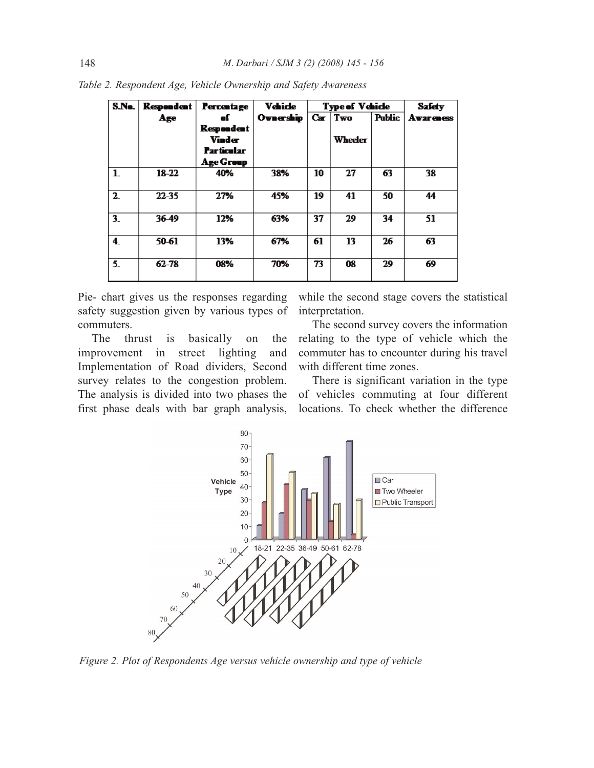| S.No.   | <b>Respondent</b> | <b>Percentage</b>                                             | <b>Vehicle</b> | <b>Type of Vehicle</b> |                | <b>Safety</b> |                  |
|---------|-------------------|---------------------------------------------------------------|----------------|------------------------|----------------|---------------|------------------|
|         | Age               | af.                                                           | Ovnership      |                        | Car   Two      | <b>Public</b> | <b>Avareness</b> |
|         |                   | Respondent<br><b>Vinder</b><br><b>Particular</b><br>Age Group |                |                        | <b>Wheeler</b> |               |                  |
| $1_{-}$ | 18-22             | 40%                                                           | 38%            | 10                     | 27             | 63            | 38               |
| $2-$    | $22 - 35$         | 27%                                                           | 45%            | 19                     | 41             | 50            | 44               |
| $3_{-}$ | 36-49             | 12%                                                           | 63%            | 37                     | 29             | 34            | 51               |
| 4       | 50-61             | 13%                                                           | 67%            | 61                     | 13             | 26            | 63               |
| 5.      | $62 - 78$         | 08%                                                           | 70%            | 73                     | 08             | 29            | 69               |

*Table 2. Respondent Age, Vehicle Ownership and Safety Awareness*

Pie- chart gives us the responses regarding safety suggestion given by various types of commuters.

The thrust is basically on the improvement in street lighting and Implementation of Road dividers, Second survey relates to the congestion problem. The analysis is divided into two phases the first phase deals with bar graph analysis,

while the second stage covers the statistical interpretation.

The second survey covers the information relating to the type of vehicle which the commuter has to encounter during his travel with different time zones.

There is significant variation in the type of vehicles commuting at four different locations. To check whether the difference



*Figure 2. Plot of Respondents Age versus vehicle ownership and type of vehicle*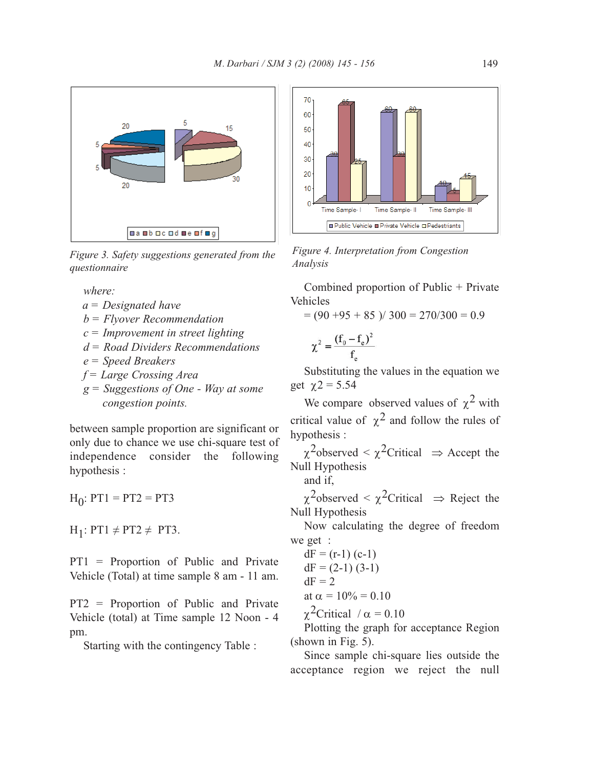

*Figure 3. Safety suggestions generated from the questionnaire*

*where:*

- *a = Designated have*
- *b = Flyover Recommendation*
- *c = Improvement in street lighting*
- *d = Road Dividers Recommendations*
- *e = Speed Breakers*
- *f = Large Crossing Area*
- *g = Suggestions of One Way at some congestion points.*

between sample proportion are significant or only due to chance we use chi-square test of independence consider the following hypothesis :

 $H_0$ : PT1 = PT2 = PT3

 $H_1$ : PT1  $\neq$  PT2  $\neq$  PT3.

PT1 = Proportion of Public and Private Vehicle (Total) at time sample 8 am - 11 am.

PT2 = Proportion of Public and Private Vehicle (total) at Time sample 12 Noon - 4 pm.

Starting with the contingency Table :



*Figure 4. Interpretation from Congestion Analysis*

Combined proportion of Public + Private Vehicles

 $= (90 + 95 + 85) / 300 = 270/300 = 0.9$ 

$$
\chi^2 = \frac{(f_0 - f_e)^2}{f_e}
$$

Substituting the values in the equation we get  $\chi$ 2 = 5.54

We compare observed values of  $\chi^2$  with critical value of  $\chi^2$  and follow the rules of hypothesis :

 $\chi^2$ observed <  $\chi^2$ Critical  $\Rightarrow$  Accept the Null Hypothesis

and if,

 $\chi^2$ observed <  $\chi^2$ Critical  $\Rightarrow$  Reject the Null Hypothesis

Now calculating the degree of freedom we get :

dF = (r-1) (c-1)  
dF = (2-1) (3-1)  
dF = 2  
at 
$$
\alpha = 10\% = 0.10
$$

 $\chi^2$ Critical / α = 0.10

Plotting the graph for acceptance Region (shown in Fig. 5).

Since sample chi-square lies outside the acceptance region we reject the null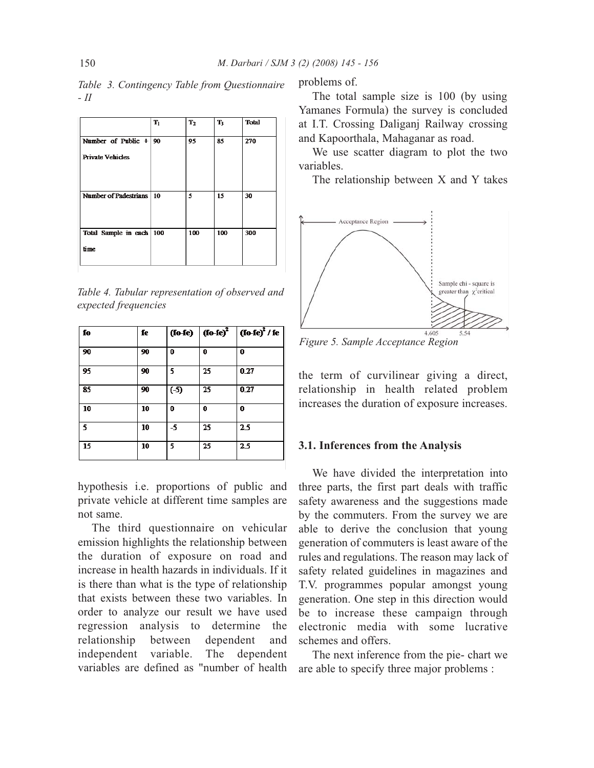*Table 3. Contingency Table from Questionnaire - II*

|                            | $T_1$ | T <sub>2</sub> | $T_3$ | <b>Total</b> |
|----------------------------|-------|----------------|-------|--------------|
| Number of Public $+$ 90    |       | 95             | 85    | 270          |
| <b>Private Vehicles</b>    |       |                |       |              |
|                            |       |                |       |              |
|                            |       |                |       |              |
| Number of Padestrians   10 |       | 5              | 15    | 30           |
|                            |       |                |       |              |
|                            |       |                |       |              |
| Total Sample in each 100   |       | 100            | 100   | 300          |
| time                       |       |                |       |              |
|                            |       |                |       |              |

*Table 4. Tabular representation of observed and expected frequencies*

| ſo | fe | (10–1e) | $(10-1e)^2$ | $($ fo-fe) <sup>2</sup> / fe $\vert$ |
|----|----|---------|-------------|--------------------------------------|
| 90 | 90 | 0       | 0           | 0                                    |
| 95 | 90 | 5       | 25          | 0.27                                 |
| 85 | 90 | $(-5)$  | 25          | 0.27                                 |
| 10 | 10 | 0       | 0           | 0                                    |
| 5. | 10 | -5      | 25          | 25                                   |
| 15 | 10 | 5       | 25          | 2 <sub>5</sub>                       |

hypothesis i.e. proportions of public and private vehicle at different time samples are not same.

The third questionnaire on vehicular emission highlights the relationship between the duration of exposure on road and increase in health hazards in individuals. If it is there than what is the type of relationship that exists between these two variables. In order to analyze our result we have used regression analysis to determine the relationship between dependent and independent variable. The dependent variables are defined as "number of health

problems of.

The total sample size is 100 (by using Yamanes Formula) the survey is concluded at I.T. Crossing Daliganj Railway crossing and Kapoorthala, Mahaganar as road.

We use scatter diagram to plot the two variables.

The relationship between X and Y takes



*Figure 5. Sample Acceptance Region*

the term of curvilinear giving a direct, relationship in health related problem increases the duration of exposure increases.

#### **3.1. Inferences from the Analysis**

We have divided the interpretation into three parts, the first part deals with traffic safety awareness and the suggestions made by the commuters. From the survey we are able to derive the conclusion that young generation of commuters is least aware of the rules and regulations. The reason may lack of safety related guidelines in magazines and T.V. programmes popular amongst young generation. One step in this direction would be to increase these campaign through electronic media with some lucrative schemes and offers.

The next inference from the pie- chart we are able to specify three major problems :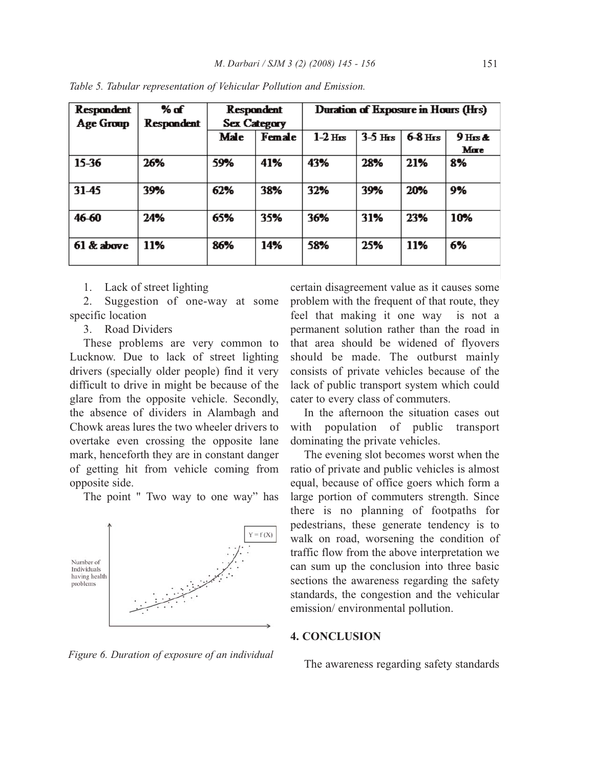| <b>Respondent</b> | % of              | <b>Respondent</b>   |        | Duration of Exposure in Hours (Hrs) |           |           |           |
|-------------------|-------------------|---------------------|--------|-------------------------------------|-----------|-----------|-----------|
| Age Group         | <b>Respondent</b> | <b>Sex Category</b> |        |                                     |           |           |           |
|                   |                   | Male                | Female |                                     | $3-5$ Hrs | $6-8$ Hrs | $9$ Hrs & |
|                   |                   |                     |        |                                     |           |           | Mare      |
| $15 - 36$         | 26%               | 59%                 | 41%    | 43%                                 | 28%       | 21%       | 8%        |
| 31-45             | 39%               | 62%                 | 38%    | 32%                                 | 39%       | 20%       | 9%        |
| 46-60             | 24%               | 65%                 | 35%    | 36%                                 | 31%       | 23%       | 10%       |
| $61$ & above      | 11%               | 86%                 | 14%    | 58%                                 | 25%       | 11%       | 6%        |

*Table 5. Tabular representation of Vehicular Pollution and Emission.*

1. Lack of street lighting

2. Suggestion of one-way at some specific location

3. Road Dividers

These problems are very common to Lucknow. Due to lack of street lighting drivers (specially older people) find it very difficult to drive in might be because of the glare from the opposite vehicle. Secondly, the absence of dividers in Alambagh and Chowk areas lures the two wheeler drivers to overtake even crossing the opposite lane mark, henceforth they are in constant danger of getting hit from vehicle coming from opposite side.

The point " Two way to one way" has



*Figure 6. Duration of exposure of an individual*

certain disagreement value as it causes some problem with the frequent of that route, they feel that making it one way is not a permanent solution rather than the road in that area should be widened of flyovers should be made. The outburst mainly consists of private vehicles because of the lack of public transport system which could cater to every class of commuters.

In the afternoon the situation cases out with population of public transport dominating the private vehicles.

The evening slot becomes worst when the ratio of private and public vehicles is almost equal, because of office goers which form a large portion of commuters strength. Since there is no planning of footpaths for pedestrians, these generate tendency is to walk on road, worsening the condition of traffic flow from the above interpretation we can sum up the conclusion into three basic sections the awareness regarding the safety standards, the congestion and the vehicular emission/ environmental pollution.

#### **4. CONCLUSION**

The awareness regarding safety standards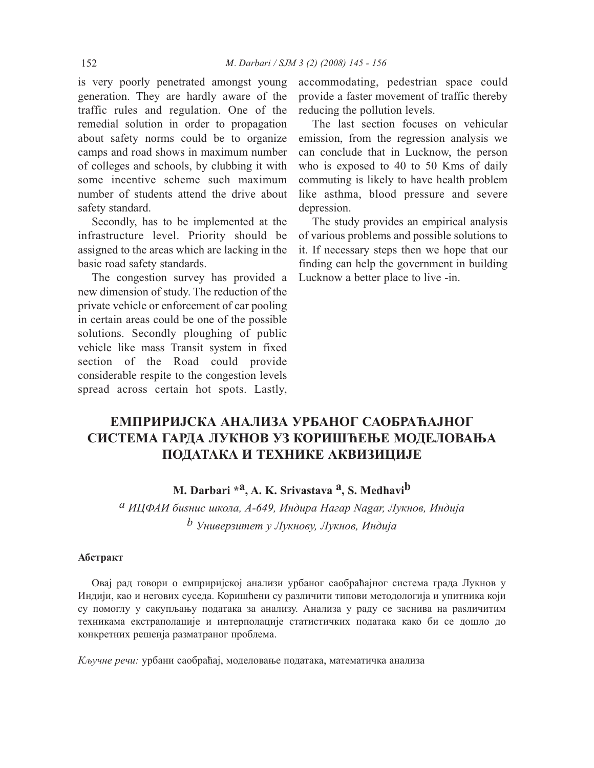is very poorly penetrated amongst young generation. They are hardly aware of the traffic rules and regulation. One of the remedial solution in order to propagation about safety norms could be to organize camps and road shows in maximum number of colleges and schools, by clubbing it with some incentive scheme such maximum number of students attend the drive about safety standard.

Secondly, has to be implemented at the infrastructure level. Priority should be assigned to the areas which are lacking in the basic road safety standards.

The congestion survey has provided a new dimension of study. The reduction of the private vehicle or enforcement of car pooling in certain areas could be one of the possible solutions. Secondly ploughing of public vehicle like mass Transit system in fixed section of the Road could provide considerable respite to the congestion levels spread across certain hot spots. Lastly, accommodating, pedestrian space could provide a faster movement of traffic thereby reducing the pollution levels.

The last section focuses on vehicular emission, from the regression analysis we can conclude that in Lucknow, the person who is exposed to 40 to 50 Kms of daily commuting is likely to have health problem like asthma, blood pressure and severe depression.

The study provides an empirical analysis of various problems and possible solutions to it. If necessary steps then we hope that our finding can help the government in building Lucknow a better place to live -in.

# **ЕМПРИРИЈСКА АНАЛИЗА УРБАНОГ САОБРАЋАЈНОГ СИСТЕМА ГАРДА ЛУКНОВ УЗ КОРИШЋЕЊЕ МОДЕЛОВАЊА ПОДАТАКА И ТЕХНИКЕ АКВИЗИЦИЈЕ**

## **M. Darbari \*a, A. K. Srivastava a, S. Medhavib**

*a ИЦФАИ биѕнис школа, A-649, Индира Нагар Nagar, Лукнов, Индија b Универзитет у Лукнову, Лукнов, Индија*

### **Абстракт**

Овај рад говори о емприријској анализи урбаног саобраћајног система града Лукнов у Индији, као и негових суседа. Коришћени су различити типови методологија и упитника који су помоглу у сакупљању података за анализу. Анализа у раду се заснива на раѕличитим техникама екстраполације и интерполације статистичких података како би се дошло до конкретних решенја разматраног проблема.

*Кључне речи:* урбани саобраћај, моделовање података, математичка анализа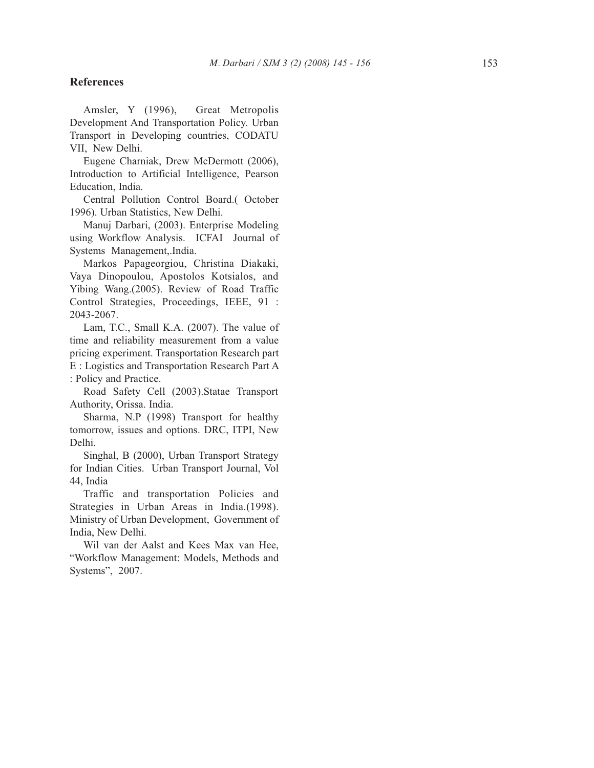### **References**

Amsler, Y (1996), Great Metropolis Development And Transportation Policy. Urban Transport in Developing countries, CODATU VII, New Delhi.

Eugene Charniak, Drew McDermott (2006), Introduction to Artificial Intelligence, Pearson Education, India.

Central Pollution Control Board.( October 1996). Urban Statistics, New Delhi.

Manuj Darbari, (2003). Enterprise Modeling using Workflow Analysis. ICFAI Journal of Systems Management,.India.

Markos Papageorgiou, Christina Diakaki, Vaya Dinopoulou, Apostolos Kotsialos, and Yibing Wang.(2005). Review of Road Traffic Control Strategies, Proceedings, IEEE, 91 : 2043-2067.

Lam, T.C., Small K.A. (2007). The value of time and reliability measurement from a value pricing experiment. Transportation Research part E : Logistics and Transportation Research Part A : Policy and Practice.

Road Safety Cell (2003).Statae Transport Authority, Orissa. India.

Sharma, N.P (1998) Transport for healthy tomorrow, issues and options. DRC, ITPI, New Delhi.

Singhal, B (2000), Urban Transport Strategy for Indian Cities. Urban Transport Journal, Vol 44, India

Traffic and transportation Policies and Strategies in Urban Areas in India.(1998). Ministry of Urban Development, Government of India, New Delhi.

Wil van der Aalst and Kees Max van Hee, "Workflow Management: Models, Methods and Systems", 2007.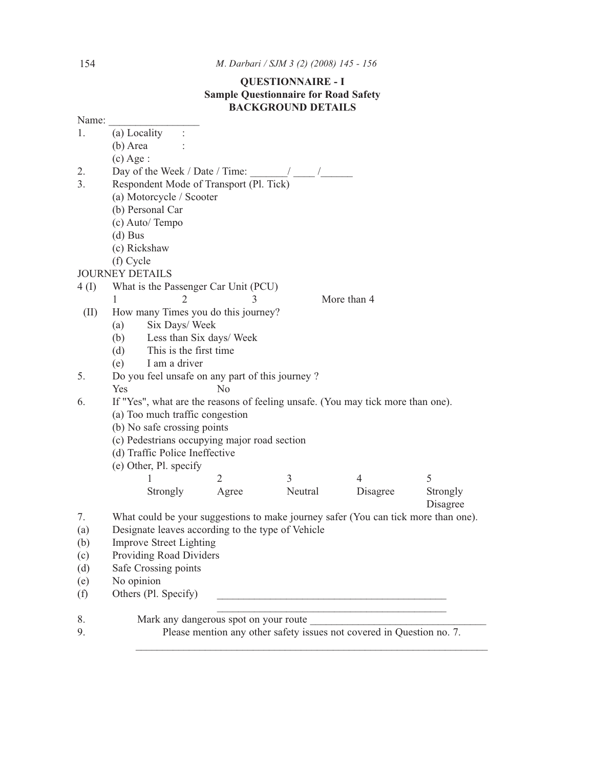### 154 *M. Darbari / SJM 3 (2) (2008) 145 - 156*

### **QUESTIONNAIRE - I Sample Questionnaire for Road Safety BACKGROUND DETAILS**

|       |                                                                                    |                | DAUNUNUUND DE IAILS |                                                                       |          |
|-------|------------------------------------------------------------------------------------|----------------|---------------------|-----------------------------------------------------------------------|----------|
| Name: |                                                                                    |                |                     |                                                                       |          |
| 1.    | (a) Locality<br>$\ddot{\cdot}$                                                     |                |                     |                                                                       |          |
|       | (b) Area                                                                           |                |                     |                                                                       |          |
|       | $(c)$ Age :                                                                        |                |                     |                                                                       |          |
| 2.    | Day of the Week / Date / Time: $\frac{1}{\sqrt{2\pi}}$                             |                |                     |                                                                       |          |
| 3.    | Respondent Mode of Transport (Pl. Tick)                                            |                |                     |                                                                       |          |
|       | (a) Motorcycle / Scooter                                                           |                |                     |                                                                       |          |
|       | (b) Personal Car                                                                   |                |                     |                                                                       |          |
|       | (c) Auto/ Tempo                                                                    |                |                     |                                                                       |          |
|       | $(d)$ Bus                                                                          |                |                     |                                                                       |          |
|       | (c) Rickshaw                                                                       |                |                     |                                                                       |          |
|       | (f) Cycle                                                                          |                |                     |                                                                       |          |
|       | <b>JOURNEY DETAILS</b>                                                             |                |                     |                                                                       |          |
| 4(I)  | What is the Passenger Car Unit (PCU)                                               |                |                     |                                                                       |          |
|       | $\overline{2}$<br>1                                                                | 3              |                     | More than 4                                                           |          |
| (II)  | How many Times you do this journey?                                                |                |                     |                                                                       |          |
|       | Six Days/ Week<br>(a)                                                              |                |                     |                                                                       |          |
|       | Less than Six days/ Week<br>(b)                                                    |                |                     |                                                                       |          |
|       | This is the first time<br>(d)                                                      |                |                     |                                                                       |          |
|       | I am a driver<br>(e)                                                               |                |                     |                                                                       |          |
| 5.    | Do you feel unsafe on any part of this journey?                                    |                |                     |                                                                       |          |
|       | Yes                                                                                | No             |                     |                                                                       |          |
| 6.    | If "Yes", what are the reasons of feeling unsafe. (You may tick more than one).    |                |                     |                                                                       |          |
|       | (a) Too much traffic congestion                                                    |                |                     |                                                                       |          |
|       | (b) No safe crossing points                                                        |                |                     |                                                                       |          |
|       | (c) Pedestrians occupying major road section                                       |                |                     |                                                                       |          |
|       | (d) Traffic Police Ineffective                                                     |                |                     |                                                                       |          |
|       | (e) Other, Pl. specify                                                             |                |                     |                                                                       |          |
|       | 1                                                                                  | $\overline{2}$ | 3                   | $\overline{4}$                                                        | 5        |
|       | Strongly                                                                           | Agree          | Neutral             | Disagree                                                              | Strongly |
|       |                                                                                    |                |                     |                                                                       | Disagree |
| 7.    | What could be your suggestions to make journey safer (You can tick more than one). |                |                     |                                                                       |          |
| (a)   | Designate leaves according to the type of Vehicle                                  |                |                     |                                                                       |          |
| (b)   | Improve Street Lighting                                                            |                |                     |                                                                       |          |
| (c)   | Providing Road Dividers                                                            |                |                     |                                                                       |          |
| (d)   | Safe Crossing points                                                               |                |                     |                                                                       |          |
| (e)   | No opinion                                                                         |                |                     |                                                                       |          |
| (f)   | Others (Pl. Specify)                                                               |                |                     | <u> 1980 - Johann Barbara, martxa alemaniar a</u>                     |          |
| 8.    | Mark any dangerous spot on your route                                              |                |                     |                                                                       |          |
| 9.    |                                                                                    |                |                     | Please mention any other safety issues not covered in Question no. 7. |          |
|       |                                                                                    |                |                     |                                                                       |          |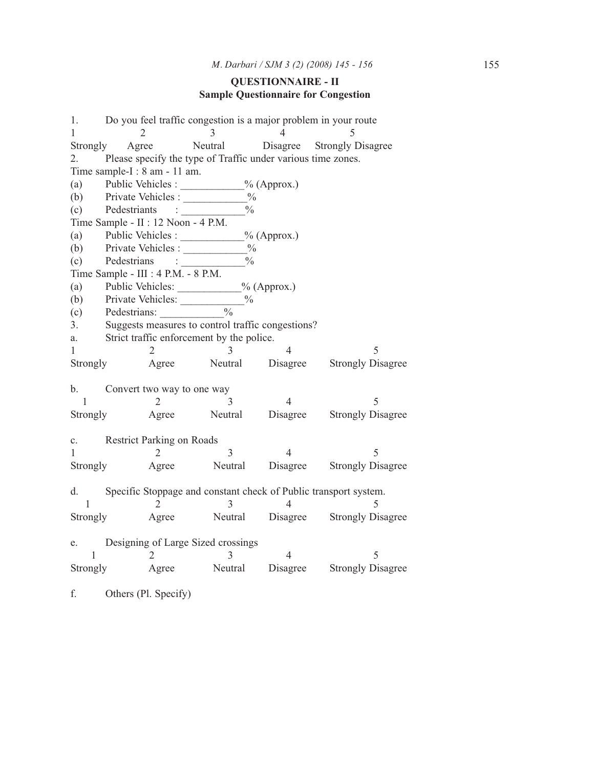### **QUESTIONNAIRE - II Sample Questionnaire for Congestion**

1. Do you feel traffic congestion is a major problem in your route 1 2 3 4 5 Strongly Agree Neutral Disagree Strongly Disagree 2. Please specify the type of Traffic under various time zones. Time sample-I : 8 am - 11 am. (a) Public Vehicles :  $\%$  (Approx.) (b) Private Vehicles :  $\frac{\%}{\%}$ <br>(c) Pedestriants :  $\frac{\%}{\%}$ (c) Pedestriants : \_\_\_\_\_\_\_\_\_\_\_\_% Time Sample - II : 12 Noon - 4 P.M. (a) Public Vehicles :  $\%$  (Approx.) (b) Private Vehicles :  $\frac{0}{6}$ (c) Pedestrians :  $\frac{0}{2}$ Time Sample - III : 4 P.M. - 8 P.M. (a) Public Vehicles: <u>V</u><sub>0</sub> (Approx.) (b) Private Vehicles:  $\frac{9}{6}$ <br>(c) Pedestrians:  $\frac{9}{6}$ (c) Pedestrians: \_\_\_\_\_\_\_\_\_\_\_\_% 3. Suggests measures to control traffic congestions? a. Strict traffic enforcement by the police.  $1 \t 2 \t 3 \t 4 \t 5$ Strongly Agree Neutral Disagree Strongly Disagree b. Convert two way to one way  $1 \t 2 \t 3 \t 4 \t 5$ Strongly Agree Neutral Disagree Strongly Disagree c. Restrict Parking on Roads 1 2 3 4 5 Strongly Agree Neutral Disagree Strongly Disagree d. Specific Stoppage and constant check of Public transport system.  $1 \t 2 \t 3 \t 4 \t 5$ Strongly Agree Neutral Disagree Strongly Disagree e. Designing of Large Sized crossings  $1 \t 2 \t 3 \t 4 \t 5$ Strongly Agree Neutral Disagree Strongly Disagree

f. Others (Pl. Specify)